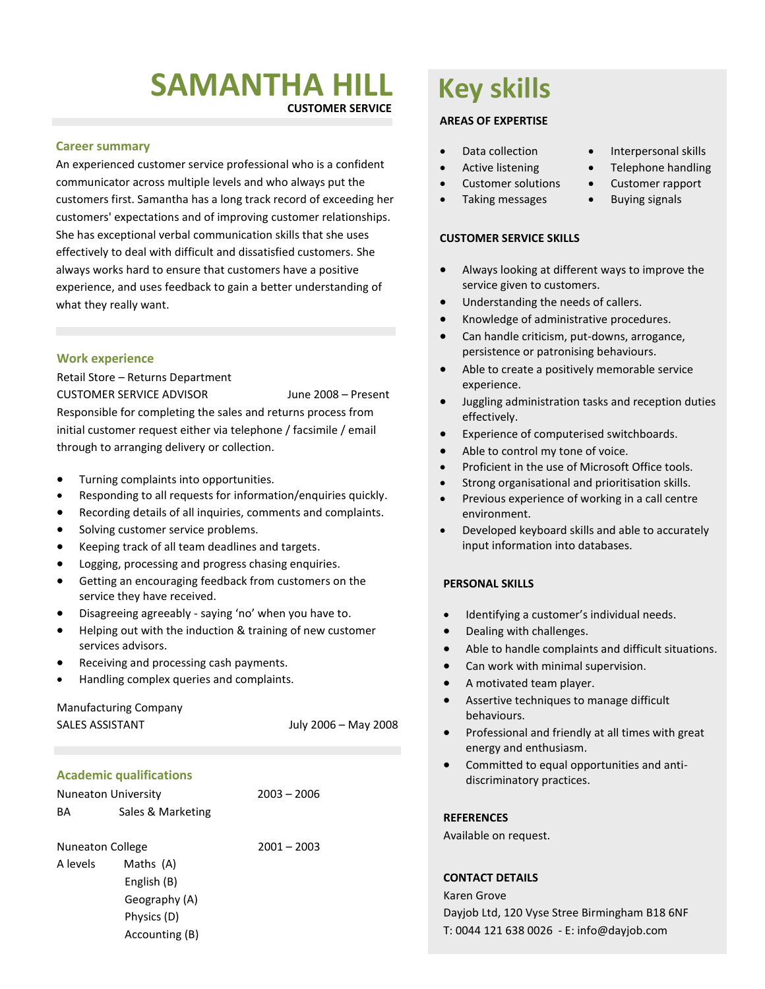# **SAMANTHA HILL**

**CUSTOMER SERVICE**

#### **Career summary**

An experienced customer service professional who is a confident communicator across multiple levels and who always put the customers first. Samantha has a long track record of exceeding her customers' expectations and of improving customer relationships. She has exceptional verbal communication skills that she uses effectively to deal with difficult and dissatisfied customers. She always works hard to ensure that customers have a positive experience, and uses feedback to gain a better understanding of what they really want.

#### **Work experience**

Retail Store – Returns Department CUSTOMER SERVICE ADVISOR June 2008 – Present Responsible for completing the sales and returns process from initial customer request either via telephone / facsimile / email through to arranging delivery or collection.

- Turning complaints into opportunities.
- Responding to all requests for information/enquiries quickly.
- Recording details of all inquiries, comments and complaints.
- Solving customer service problems.
- Keeping track of all team deadlines and targets.
- Logging, processing and progress chasing enquiries.
- Getting an encouraging feedback from customers on the service they have received.
- Disagreeing agreeably saying 'no' when you have to.
- Helping out with the induction & training of new customer services advisors.
- Receiving and processing cash payments.
- Handling complex queries and complaints.

# Manufacturing Company SALES ASSISTANT July 2006 – May 2008

## **Academic qualifications**

| <b>Nuneaton University</b> |                   | $2003 - 2006$ |
|----------------------------|-------------------|---------------|
| BA                         | Sales & Marketing |               |

Nuneaton College 2001 – 2003

A levels Maths (A) English (B) Geography (A) Physics (D) Accounting (B)

# **Key skills**

### **AREAS OF EXPERTISE**

- 
- 
- Customer solutions Customer rapport
- Taking messages Buying signals

#### **CUSTOMER SERVICE SKILLS**

- Always looking at different ways to improve the service given to customers.
- **•** Understanding the needs of callers.
- Knowledge of administrative procedures.
- Can handle criticism, put-downs, arrogance, persistence or patronising behaviours.
- Able to create a positively memorable service experience.
- Juggling administration tasks and reception duties effectively.
- Experience of computerised switchboards.
- Able to control my tone of voice.
- Proficient in the use of Microsoft Office tools.
- Strong organisational and prioritisation skills.
- Previous experience of working in a call centre environment.
- Developed keyboard skills and able to accurately input information into databases.

### **PERSONAL SKILLS**

- Identifying a customer's individual needs.
- Dealing with challenges.
- Able to handle complaints and difficult situations.
- Can work with minimal supervision.
- A motivated team player.
- Assertive techniques to manage difficult behaviours.
- Professional and friendly at all times with great energy and enthusiasm.
- Committed to equal opportunities and antidiscriminatory practices.

#### **REFERENCES**

Available on request.

### **CONTACT DETAILS**

Karen Grove Dayjob Ltd, 120 Vyse Stree Birmingham B18 6NF T: 0044 121 638 0026 - E: [info@dayjob.com](mailto:info@dayjob.com)

- Data collection **•** Interpersonal skills
- Active listening Telephone handling